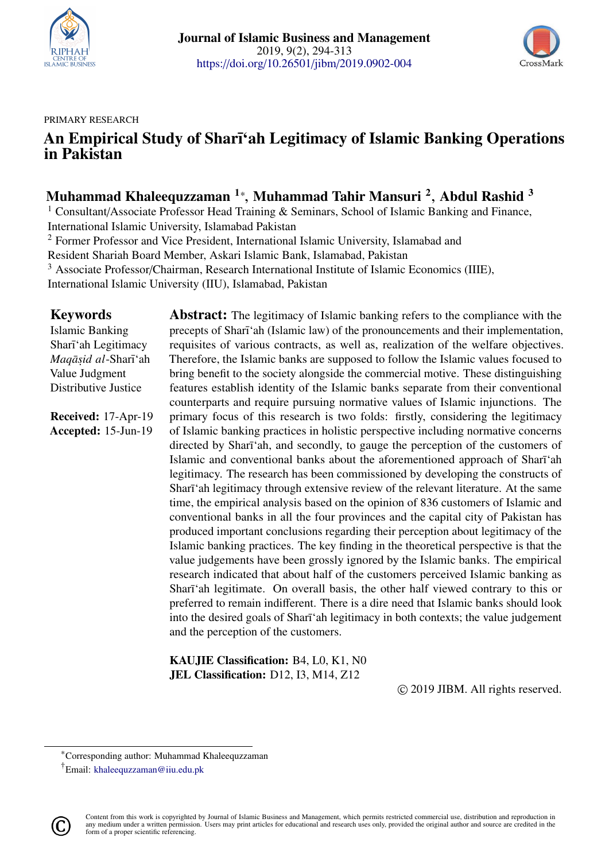<span id="page-0-0"></span>



#### PRIMARY RESEARCH

# An Empirical Study of Sharī'ah Legitimacy of Islamic Banking Operations in Pakistan

# Muhammad Khaleequzzaman  $^{1*}$ , Muhammad Tahir Mansuri  $^{2}$ , Abdul Rashid  $^{3}$

<sup>1</sup> Consultant/Associate Professor Head Training & Seminars, School of Islamic Banking and Finance, International Islamic University, Islamabad Pakistan

<sup>2</sup> Former Professor and Vice President, International Islamic University, Islamabad and

Resident Shariah Board Member, Askari Islamic Bank, Islamabad, Pakistan

<sup>3</sup> Associate Professor/Chairman, Research International Institute of Islamic Economics (IIIE),

International Islamic University (IIU), Islamabad, Pakistan

### Keywords

Islamic Banking Sharī'ah Legitimacy *Maq¯as*. *id al*-Shar¯ı'ah Value Judgment Distributive Justice

Received: 17-Apr-19 Accepted: 15-Jun-19 **Abstract:** The legitimacy of Islamic banking refers to the compliance with the precepts of Sharī'ah (Islamic law) of the pronouncements and their implementation, requisites of various contracts, as well as, realization of the welfare objectives. Therefore, the Islamic banks are supposed to follow the Islamic values focused to bring benefit to the society alongside the commercial motive. These distinguishing features establish identity of the Islamic banks separate from their conventional counterparts and require pursuing normative values of Islamic injunctions. The primary focus of this research is two folds: firstly, considering the legitimacy of Islamic banking practices in holistic perspective including normative concerns directed by Sharī'ah, and secondly, to gauge the perception of the customers of Islamic and conventional banks about the aforementioned approach of Sharī'ah legitimacy. The research has been commissioned by developing the constructs of Sharī'ah legitimacy through extensive review of the relevant literature. At the same time, the empirical analysis based on the opinion of 836 customers of Islamic and conventional banks in all the four provinces and the capital city of Pakistan has produced important conclusions regarding their perception about legitimacy of the Islamic banking practices. The key finding in the theoretical perspective is that the value judgements have been grossly ignored by the Islamic banks. The empirical research indicated that about half of the customers perceived Islamic banking as Sharī'ah legitimate. On overall basis, the other half viewed contrary to this or preferred to remain indifferent. There is a dire need that Islamic banks should look into the desired goals of Sharī'ah legitimacy in both contexts; the value judgement and the perception of the customers.

KAUJIE Classification: B4, L0, K1, N0 JEL Classification: D12, I3, M14, Z12

© 2019 JIBM. All rights reserved.

<sup>†</sup>Email: <khaleequzzaman@iiu.edu.pk>



<sup>\*</sup>Corresponding author: Muhammad Khaleequzzaman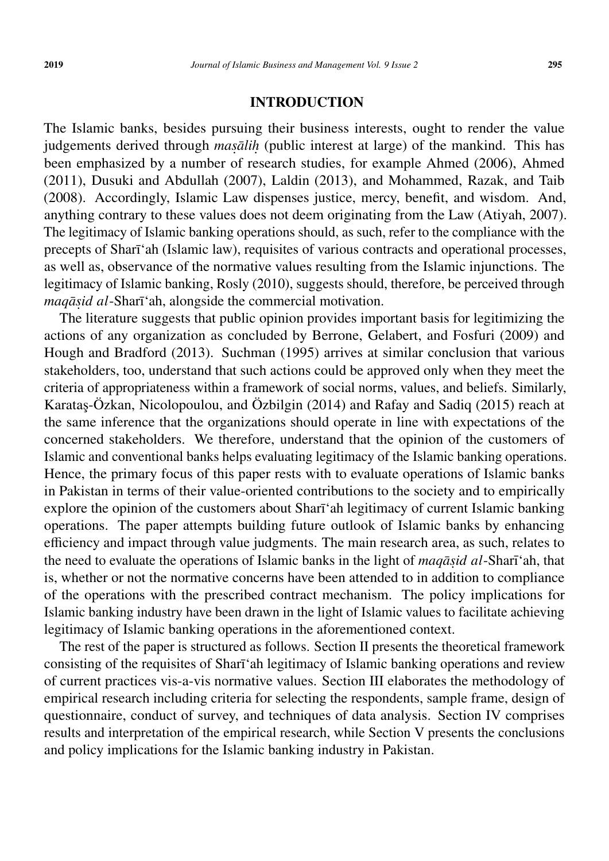#### INTRODUCTION

The Islamic banks, besides pursuing their business interests, ought to render the value judgements derived through *masālih* (public interest at large) of the mankind. This has been emphasized by a number of research studies, for example Ahmed (2006), Ahmed (2011), Dusuki and Abdullah (2007), Laldin (2013), and Mohammed, Razak, and Taib (2008). Accordingly, Islamic Law dispenses justice, mercy, benefit, and wisdom. And, anything contrary to these values does not deem originating from the Law (Atiyah, 2007). The legitimacy of Islamic banking operations should, as such, refer to the compliance with the precepts of Sharī'ah (Islamic law), requisites of various contracts and operational processes, as well as, observance of the normative values resulting from the Islamic injunctions. The legitimacy of Islamic banking, Rosly (2010), suggests should, therefore, be perceived through *maq¯as*. *id al*-Shar¯ı'ah, alongside the commercial motivation.

The literature suggests that public opinion provides important basis for legitimizing the actions of any organization as concluded by Berrone, Gelabert, and Fosfuri (2009) and Hough and Bradford (2013). Suchman (1995) arrives at similar conclusion that various stakeholders, too, understand that such actions could be approved only when they meet the criteria of appropriateness within a framework of social norms, values, and beliefs. Similarly, Karataş-Özkan, Nicolopoulou, and Özbilgin (2014) and Rafay and Sadiq (2015) reach at the same inference that the organizations should operate in line with expectations of the concerned stakeholders. We therefore, understand that the opinion of the customers of Islamic and conventional banks helps evaluating legitimacy of the Islamic banking operations. Hence, the primary focus of this paper rests with to evaluate operations of Islamic banks in Pakistan in terms of their value-oriented contributions to the society and to empirically explore the opinion of the customers about Sharī'ah legitimacy of current Islamic banking operations. The paper attempts building future outlook of Islamic banks by enhancing efficiency and impact through value judgments. The main research area, as such, relates to the need to evaluate the operations of Islamic banks in the light of *maqāsid al*-Sharī 'ah, that is, whether or not the normative concerns have been attended to in addition to compliance of the operations with the prescribed contract mechanism. The policy implications for Islamic banking industry have been drawn in the light of Islamic values to facilitate achieving legitimacy of Islamic banking operations in the aforementioned context.

The rest of the paper is structured as follows. Section II presents the theoretical framework consisting of the requisites of Sharī'ah legitimacy of Islamic banking operations and review of current practices vis-a-vis normative values. Section III elaborates the methodology of empirical research including criteria for selecting the respondents, sample frame, design of questionnaire, conduct of survey, and techniques of data analysis. Section IV comprises results and interpretation of the empirical research, while Section V presents the conclusions and policy implications for the Islamic banking industry in Pakistan.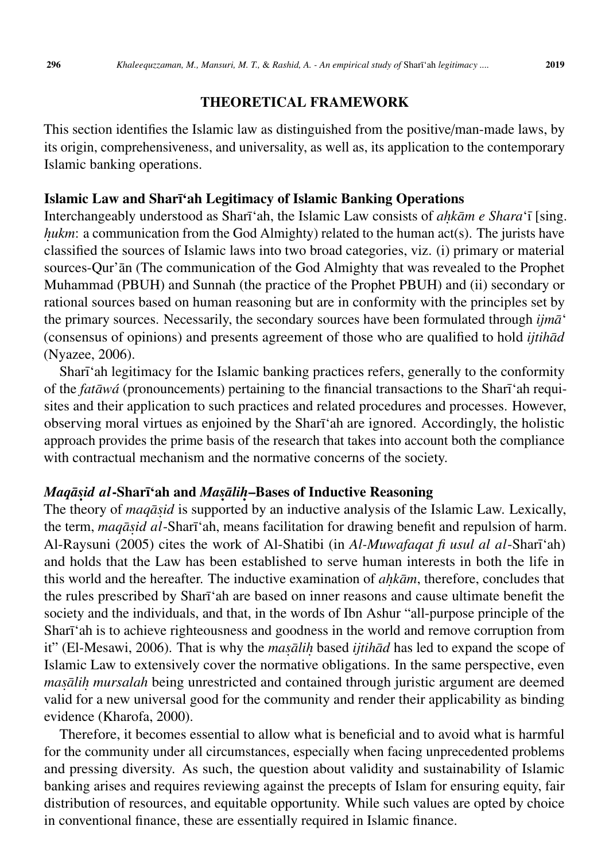### THEORETICAL FRAMEWORK

This section identifies the Islamic law as distinguished from the positive/man-made laws, by its origin, comprehensiveness, and universality, as well as, its application to the contemporary Islamic banking operations.

#### Islamic Law and Sharī'ah Legitimacy of Islamic Banking Operations

Interchangeably understood as Sharī'ah, the Islamic Law consists of *ahkām e Shara'*ī [sing. *hukm*: a communication from the God Almighty) related to the human act(s). The jurists have classified the sources of Islamic laws into two broad categories, viz. (i) primary or material sources-Qur' $\bar{a}$ n (The communication of the God Almighty that was revealed to the Prophet Muhammad (PBUH) and Sunnah (the practice of the Prophet PBUH) and (ii) secondary or rational sources based on human reasoning but are in conformity with the principles set by the primary sources. Necessarily, the secondary sources have been formulated through *ijm* $\bar{a}$ <sup>'</sup> (consensus of opinions) and presents agreement of those who are qualified to hold *ijtih* $\bar{a}d$ (Nyazee, 2006).

Sharī'ah legitimacy for the Islamic banking practices refers, generally to the conformity of the *fatāwá* (pronouncements) pertaining to the financial transactions to the Sharī<sup>'</sup>ah requisites and their application to such practices and related procedures and processes. However, observing moral virtues as enjoined by the Sharī'ah are ignored. Accordingly, the holistic approach provides the prime basis of the research that takes into account both the compliance with contractual mechanism and the normative concerns of the society.

# *Maqāṣid al-*Sharī'ah and *Maṣāliḥ–*Bases of Inductive Reasoning

The theory of *maqāsid* is supported by an inductive analysis of the Islamic Law. Lexically, the term, *maqāṣid al*-Sharīʿah, means facilitation for drawing benefit and repulsion of harm. Al-Raysuni (2005) cites the work of Al-Shatibi (in *Al-Muwafaqat fi usul al al-Sharī*'ah) and holds that the Law has been established to serve human interests in both the life in this world and the hereafter. The inductive examination of *ahkām*, therefore, concludes that the rules prescribed by Sharī<sup>'</sup>ah are based on inner reasons and cause ultimate benefit the society and the individuals, and that, in the words of Ibn Ashur "all-purpose principle of the Sharī'ah is to achieve righteousness and goodness in the world and remove corruption from it" (El-Mesawi, 2006). That is why the *masalih* based *ijtihad* has led to expand the scope of Islamic Law to extensively cover the normative obligations. In the same perspective, even *masālih mursalah* being unrestricted and contained through juristic argument are deemed valid for a new universal good for the community and render their applicability as binding evidence (Kharofa, 2000).

Therefore, it becomes essential to allow what is beneficial and to avoid what is harmful for the community under all circumstances, especially when facing unprecedented problems and pressing diversity. As such, the question about validity and sustainability of Islamic banking arises and requires reviewing against the precepts of Islam for ensuring equity, fair distribution of resources, and equitable opportunity. While such values are opted by choice in conventional finance, these are essentially required in Islamic finance.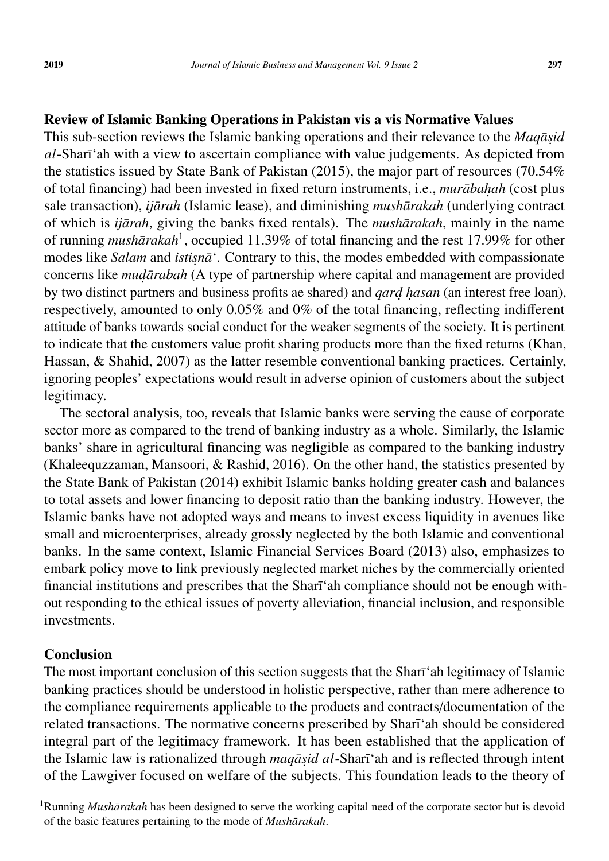## Review of Islamic Banking Operations in Pakistan vis a vis Normative Values

This sub-section reviews the Islamic banking operations and their relevance to the *Maqāsid al*-Sharī'ah with a view to ascertain compliance with value judgements. As depicted from the statistics issued by State Bank of Pakistan (2015), the major part of resources (70.54% of total financing) had been invested in fixed return instruments, i.e., *murābahah* (cost plus sale transaction), *ijārah* (Islamic lease), and diminishing *mushārakah* (underlying contract of which is *ijārah*, giving the banks fixed rentals). The *mushārakah*, mainly in the name of running *mushārakah*<sup>[1](#page-0-0)</sup>, occupied 11.39% of total financing and the rest 17.99% for other modes like *Salam* and *istisna*<sup>\*</sup>. Contrary to this, the modes embedded with compassionate concerns like *mudārabah* (A type of partnership where capital and management are provided by two distinct partners and business profits ae shared) and *qard*. *h*.*asan* (an interest free loan), respectively, amounted to only 0.05% and 0% of the total financing, reflecting indifferent attitude of banks towards social conduct for the weaker segments of the society. It is pertinent to indicate that the customers value profit sharing products more than the fixed returns (Khan, Hassan, & Shahid, 2007) as the latter resemble conventional banking practices. Certainly, ignoring peoples' expectations would result in adverse opinion of customers about the subject legitimacy.

The sectoral analysis, too, reveals that Islamic banks were serving the cause of corporate sector more as compared to the trend of banking industry as a whole. Similarly, the Islamic banks' share in agricultural financing was negligible as compared to the banking industry (Khaleequzzaman, Mansoori, & Rashid, 2016). On the other hand, the statistics presented by the State Bank of Pakistan (2014) exhibit Islamic banks holding greater cash and balances to total assets and lower financing to deposit ratio than the banking industry. However, the Islamic banks have not adopted ways and means to invest excess liquidity in avenues like small and microenterprises, already grossly neglected by the both Islamic and conventional banks. In the same context, Islamic Financial Services Board (2013) also, emphasizes to embark policy move to link previously neglected market niches by the commercially oriented financial institutions and prescribes that the Sharī'ah compliance should not be enough without responding to the ethical issues of poverty alleviation, financial inclusion, and responsible investments.

## Conclusion

The most important conclusion of this section suggests that the Sharī 'ah legitimacy of Islamic banking practices should be understood in holistic perspective, rather than mere adherence to the compliance requirements applicable to the products and contracts/documentation of the related transactions. The normative concerns prescribed by Sharī'ah should be considered integral part of the legitimacy framework. It has been established that the application of the Islamic law is rationalized through *maqāṣid al-*Sharīʿah and is reflected through intent of the Lawgiver focused on welfare of the subjects. This foundation leads to the theory of

<sup>&</sup>lt;sup>1</sup>Running *Mushārakah* has been designed to serve the working capital need of the corporate sector but is devoid of the basic features pertaining to the mode of *Mushārakah*.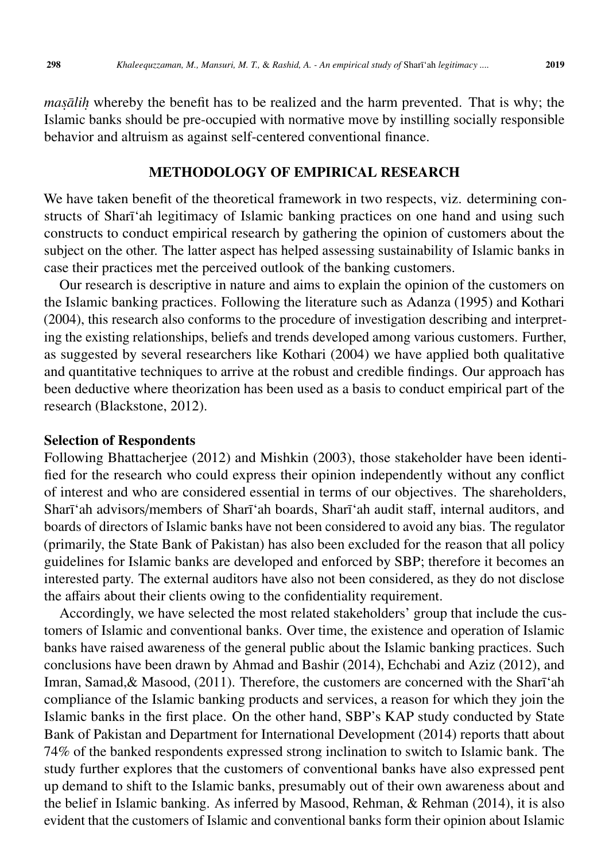*masalih* whereby the benefit has to be realized and the harm prevented. That is why; the Islamic banks should be pre-occupied with normative move by instilling socially responsible behavior and altruism as against self-centered conventional finance.

#### METHODOLOGY OF EMPIRICAL RESEARCH

We have taken benefit of the theoretical framework in two respects, viz. determining constructs of Sharī'ah legitimacy of Islamic banking practices on one hand and using such constructs to conduct empirical research by gathering the opinion of customers about the subject on the other. The latter aspect has helped assessing sustainability of Islamic banks in case their practices met the perceived outlook of the banking customers.

Our research is descriptive in nature and aims to explain the opinion of the customers on the Islamic banking practices. Following the literature such as Adanza (1995) and Kothari (2004), this research also conforms to the procedure of investigation describing and interpreting the existing relationships, beliefs and trends developed among various customers. Further, as suggested by several researchers like Kothari (2004) we have applied both qualitative and quantitative techniques to arrive at the robust and credible findings. Our approach has been deductive where theorization has been used as a basis to conduct empirical part of the research (Blackstone, 2012).

#### Selection of Respondents

Following Bhattacherjee (2012) and Mishkin (2003), those stakeholder have been identified for the research who could express their opinion independently without any conflict of interest and who are considered essential in terms of our objectives. The shareholders, Sharī'ah advisors/members of Sharī'ah boards, Sharī'ah audit staff, internal auditors, and boards of directors of Islamic banks have not been considered to avoid any bias. The regulator (primarily, the State Bank of Pakistan) has also been excluded for the reason that all policy guidelines for Islamic banks are developed and enforced by SBP; therefore it becomes an interested party. The external auditors have also not been considered, as they do not disclose the affairs about their clients owing to the confidentiality requirement.

Accordingly, we have selected the most related stakeholders' group that include the customers of Islamic and conventional banks. Over time, the existence and operation of Islamic banks have raised awareness of the general public about the Islamic banking practices. Such conclusions have been drawn by Ahmad and Bashir (2014), Echchabi and Aziz (2012), and Imran, Samad, & Masood,  $(2011)$ . Therefore, the customers are concerned with the Sharī'ah compliance of the Islamic banking products and services, a reason for which they join the Islamic banks in the first place. On the other hand, SBP's KAP study conducted by State Bank of Pakistan and Department for International Development (2014) reports thatt about 74% of the banked respondents expressed strong inclination to switch to Islamic bank. The study further explores that the customers of conventional banks have also expressed pent up demand to shift to the Islamic banks, presumably out of their own awareness about and the belief in Islamic banking. As inferred by Masood, Rehman, & Rehman (2014), it is also evident that the customers of Islamic and conventional banks form their opinion about Islamic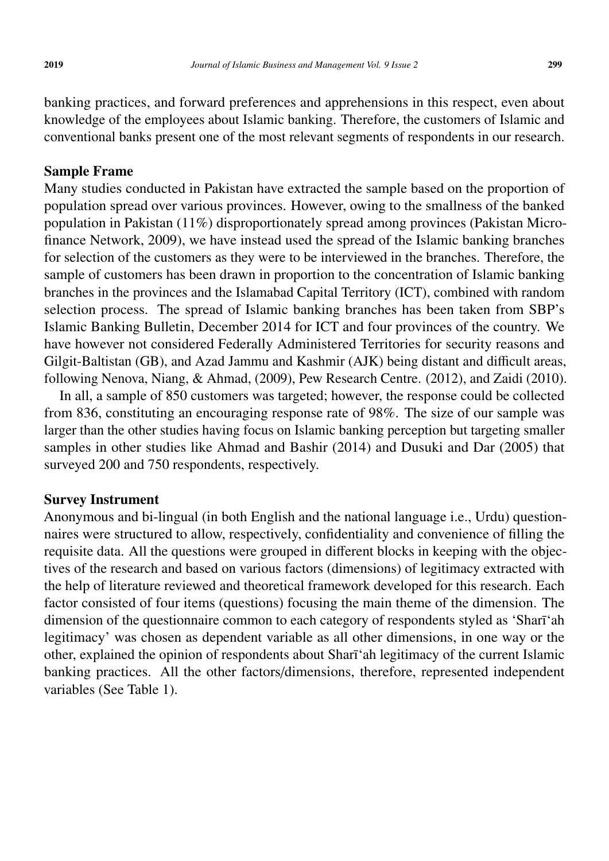conventional banks present one of the most relevant segments of respondents in our research.

Sample Frame

Many studies conducted in Pakistan have extracted the sample based on the proportion of population spread over various provinces. However, owing to the smallness of the banked population in Pakistan (11%) disproportionately spread among provinces (Pakistan Microfinance Network, 2009), we have instead used the spread of the Islamic banking branches for selection of the customers as they were to be interviewed in the branches. Therefore, the sample of customers has been drawn in proportion to the concentration of Islamic banking branches in the provinces and the Islamabad Capital Territory (ICT), combined with random selection process. The spread of Islamic banking branches has been taken from SBP's Islamic Banking Bulletin, December 2014 for ICT and four provinces of the country. We have however not considered Federally Administered Territories for security reasons and Gilgit-Baltistan (GB), and Azad Jammu and Kashmir (AJK) being distant and difficult areas, following Nenova, Niang, & Ahmad, (2009), Pew Research Centre. (2012), and Zaidi (2010).

In all, a sample of 850 customers was targeted; however, the response could be collected from 836, constituting an encouraging response rate of 98%. The size of our sample was larger than the other studies having focus on Islamic banking perception but targeting smaller samples in other studies like Ahmad and Bashir (2014) and Dusuki and Dar (2005) that surveyed 200 and 750 respondents, respectively.

### Survey Instrument

Anonymous and bi-lingual (in both English and the national language i.e., Urdu) questionnaires were structured to allow, respectively, confidentiality and convenience of filling the requisite data. All the questions were grouped in different blocks in keeping with the objectives of the research and based on various factors (dimensions) of legitimacy extracted with the help of literature reviewed and theoretical framework developed for this research. Each factor consisted of four items (questions) focusing the main theme of the dimension. The dimension of the questionnaire common to each category of respondents styled as 'Sharī'ah legitimacy' was chosen as dependent variable as all other dimensions, in one way or the other, explained the opinion of respondents about Sharī'ah legitimacy of the current Islamic banking practices. All the other factors/dimensions, therefore, represented independent variables (See Table 1).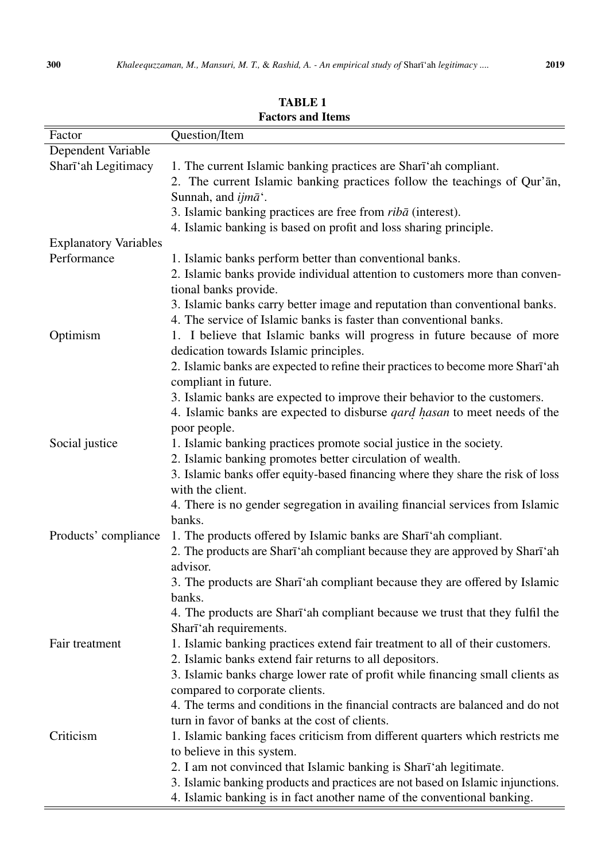| Factor                       | Question/Item                                                                                                                                                                   |
|------------------------------|---------------------------------------------------------------------------------------------------------------------------------------------------------------------------------|
| Dependent Variable           |                                                                                                                                                                                 |
| Shari'ah Legitimacy          | 1. The current Islamic banking practices are Shari'ah compliant.<br>2. The current Islamic banking practices follow the teachings of Qur'an,<br>Sunnah, and ijmā <sup>*</sup> . |
|                              | 3. Islamic banking practices are free from <i>ribā</i> (interest).                                                                                                              |
|                              | 4. Islamic banking is based on profit and loss sharing principle.                                                                                                               |
| <b>Explanatory Variables</b> |                                                                                                                                                                                 |
| Performance                  | 1. Islamic banks perform better than conventional banks.                                                                                                                        |
|                              | 2. Islamic banks provide individual attention to customers more than conven-<br>tional banks provide.                                                                           |
|                              | 3. Islamic banks carry better image and reputation than conventional banks.                                                                                                     |
|                              | 4. The service of Islamic banks is faster than conventional banks.                                                                                                              |
| Optimism                     | 1. I believe that Islamic banks will progress in future because of more<br>dedication towards Islamic principles.                                                               |
|                              | 2. Islamic banks are expected to refine their practices to become more Sharī'ah                                                                                                 |
|                              | compliant in future.                                                                                                                                                            |
|                              | 3. Islamic banks are expected to improve their behavior to the customers.                                                                                                       |
|                              | 4. Islamic banks are expected to disburse <i>qard hasan</i> to meet needs of the                                                                                                |
|                              | poor people.                                                                                                                                                                    |
| Social justice               | 1. Islamic banking practices promote social justice in the society.                                                                                                             |
|                              | 2. Islamic banking promotes better circulation of wealth.                                                                                                                       |
|                              | 3. Islamic banks offer equity-based financing where they share the risk of loss<br>with the client.                                                                             |
|                              | 4. There is no gender segregation in availing financial services from Islamic<br>banks.                                                                                         |
| Products' compliance         | 1. The products offered by Islamic banks are Shari'ah compliant.                                                                                                                |
|                              | 2. The products are Shari ah compliant because they are approved by Shari ah                                                                                                    |
|                              | advisor.                                                                                                                                                                        |
|                              | 3. The products are Shari'ah compliant because they are offered by Islamic                                                                                                      |
|                              | banks.                                                                                                                                                                          |
|                              | 4. The products are Shart and compliant because we trust that they fulfil the                                                                                                   |
|                              | Shari'ah requirements.                                                                                                                                                          |
| Fair treatment               | 1. Islamic banking practices extend fair treatment to all of their customers.                                                                                                   |
|                              | 2. Islamic banks extend fair returns to all depositors.                                                                                                                         |
|                              | 3. Islamic banks charge lower rate of profit while financing small clients as                                                                                                   |
|                              | compared to corporate clients.                                                                                                                                                  |
|                              | 4. The terms and conditions in the financial contracts are balanced and do not                                                                                                  |
|                              | turn in favor of banks at the cost of clients.                                                                                                                                  |
| Criticism                    | 1. Islamic banking faces criticism from different quarters which restricts me                                                                                                   |
|                              | to believe in this system.                                                                                                                                                      |
|                              | 2. I am not convinced that Islamic banking is Shart'ah legitimate.                                                                                                              |
|                              | 3. Islamic banking products and practices are not based on Islamic injunctions.                                                                                                 |
|                              | 4. Islamic banking is in fact another name of the conventional banking.                                                                                                         |

TABLE 1 Factors and Items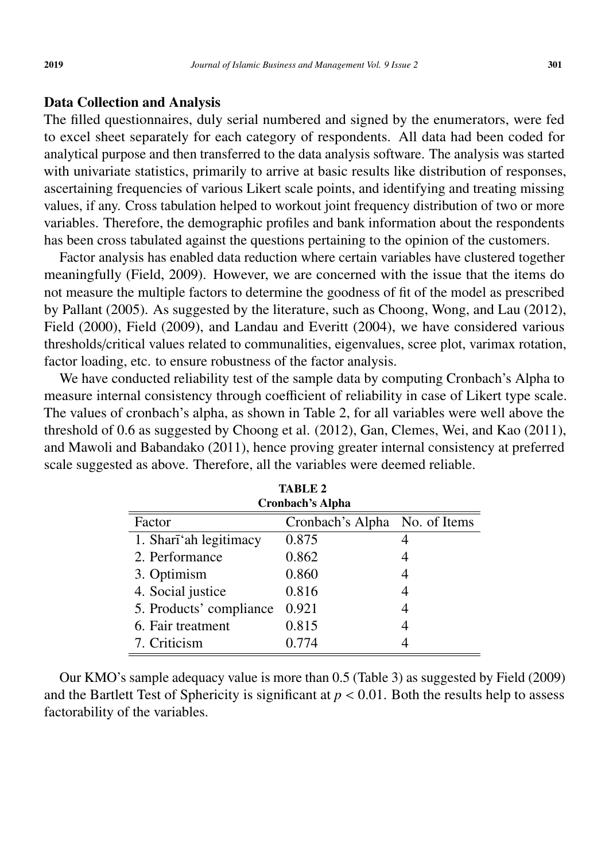#### Data Collection and Analysis

The filled questionnaires, duly serial numbered and signed by the enumerators, were fed to excel sheet separately for each category of respondents. All data had been coded for analytical purpose and then transferred to the data analysis software. The analysis was started with univariate statistics, primarily to arrive at basic results like distribution of responses, ascertaining frequencies of various Likert scale points, and identifying and treating missing values, if any. Cross tabulation helped to workout joint frequency distribution of two or more variables. Therefore, the demographic profiles and bank information about the respondents has been cross tabulated against the questions pertaining to the opinion of the customers.

Factor analysis has enabled data reduction where certain variables have clustered together meaningfully (Field, 2009). However, we are concerned with the issue that the items do not measure the multiple factors to determine the goodness of fit of the model as prescribed by Pallant (2005). As suggested by the literature, such as Choong, Wong, and Lau (2012), Field (2000), Field (2009), and Landau and Everitt (2004), we have considered various thresholds/critical values related to communalities, eigenvalues, scree plot, varimax rotation, factor loading, etc. to ensure robustness of the factor analysis.

We have conducted reliability test of the sample data by computing Cronbach's Alpha to measure internal consistency through coefficient of reliability in case of Likert type scale. The values of cronbach's alpha, as shown in Table 2, for all variables were well above the threshold of 0.6 as suggested by Choong et al. (2012), Gan, Clemes, Wei, and Kao (2011), and Mawoli and Babandako (2011), hence proving greater internal consistency at preferred scale suggested as above. Therefore, all the variables were deemed reliable.

| <b>TABLE 2</b>          |                               |  |  |  |  |  |  |
|-------------------------|-------------------------------|--|--|--|--|--|--|
| <b>Cronbach's Alpha</b> |                               |  |  |  |  |  |  |
| Factor                  | Cronbach's Alpha No. of Items |  |  |  |  |  |  |
| 1. Shari'ah legitimacy  | 0.875                         |  |  |  |  |  |  |
| 2. Performance          | 0.862                         |  |  |  |  |  |  |
| 3. Optimism             | 0.860                         |  |  |  |  |  |  |
| 4. Social justice       | 0.816                         |  |  |  |  |  |  |
| 5. Products' compliance | 0.921                         |  |  |  |  |  |  |
| 6. Fair treatment       | 0.815                         |  |  |  |  |  |  |
| 7. Criticism            | 0.774                         |  |  |  |  |  |  |

Our KMO's sample adequacy value is more than 0.5 (Table 3) as suggested by Field (2009) and the Bartlett Test of Sphericity is significant at  $p < 0.01$ . Both the results help to assess factorability of the variables.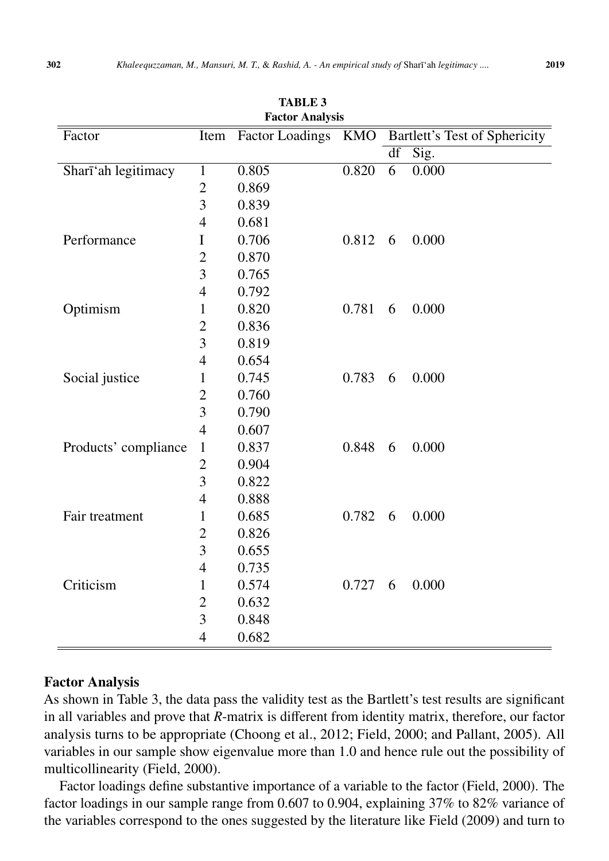| <b>Factor Analysis</b> |                          |                     |       |    |                               |  |  |  |  |
|------------------------|--------------------------|---------------------|-------|----|-------------------------------|--|--|--|--|
| Factor                 | Item                     | Factor Loadings KMO |       |    | Bartlett's Test of Sphericity |  |  |  |  |
|                        |                          |                     |       | df | Sig.                          |  |  |  |  |
| Shari'ah legitimacy    | $\mathbf{1}$             | 0.805               | 0.820 | 6  | 0.000                         |  |  |  |  |
|                        | $\mathbf{2}$             | 0.869               |       |    |                               |  |  |  |  |
|                        | 3                        | 0.839               |       |    |                               |  |  |  |  |
|                        | $\overline{4}$           | 0.681               |       |    |                               |  |  |  |  |
| Performance            | I                        | 0.706               | 0.812 | 6  | 0.000                         |  |  |  |  |
|                        | $\overline{2}$           | 0.870               |       |    |                               |  |  |  |  |
|                        | 3                        | 0.765               |       |    |                               |  |  |  |  |
|                        | 4                        | 0.792               |       |    |                               |  |  |  |  |
| Optimism               | $\mathbf 1$              | 0.820               | 0.781 | 6  | 0.000                         |  |  |  |  |
|                        | $\mathbf{2}$             | 0.836               |       |    |                               |  |  |  |  |
|                        | $\overline{3}$           | 0.819               |       |    |                               |  |  |  |  |
|                        | 4                        | 0.654               |       |    |                               |  |  |  |  |
| Social justice         | $\mathbf{1}$             | 0.745               | 0.783 | 6  | 0.000                         |  |  |  |  |
|                        | $\overline{2}$           | 0.760               |       |    |                               |  |  |  |  |
|                        | 3                        | 0.790               |       |    |                               |  |  |  |  |
|                        | $\overline{4}$           | 0.607               |       |    |                               |  |  |  |  |
| Products' compliance   | $\mathbf{1}$             | 0.837               | 0.848 | 6  | 0.000                         |  |  |  |  |
|                        | $\overline{2}$           | 0.904               |       |    |                               |  |  |  |  |
|                        | 3                        | 0.822               |       |    |                               |  |  |  |  |
|                        | $\overline{4}$           | 0.888               |       |    |                               |  |  |  |  |
| Fair treatment         | $\mathbf{1}$             | 0.685               | 0.782 | 6  | 0.000                         |  |  |  |  |
|                        | $\mathbf{2}$             | 0.826               |       |    |                               |  |  |  |  |
|                        | 3                        | 0.655               |       |    |                               |  |  |  |  |
|                        | 4                        | 0.735               |       |    |                               |  |  |  |  |
| Criticism              | $\mathbf{1}$             | 0.574               | 0.727 | 6  | 0.000                         |  |  |  |  |
|                        | $\overline{2}$           | 0.632               |       |    |                               |  |  |  |  |
|                        | $\overline{3}$           | 0.848               |       |    |                               |  |  |  |  |
|                        | $\overline{\mathcal{A}}$ | 0.682               |       |    |                               |  |  |  |  |

TARLE<sub>3</sub>

## Factor Analysis

As shown in Table 3, the data pass the validity test as the Bartlett's test results are significant in all variables and prove that *R*-matrix is different from identity matrix, therefore, our factor analysis turns to be appropriate (Choong et al., 2012; Field, 2000; and Pallant, 2005). All variables in our sample show eigenvalue more than 1.0 and hence rule out the possibility of multicollinearity (Field, 2000).

Factor loadings define substantive importance of a variable to the factor (Field, 2000). The factor loadings in our sample range from 0.607 to 0.904, explaining 37% to 82% variance of the variables correspond to the ones suggested by the literature like Field (2009) and turn to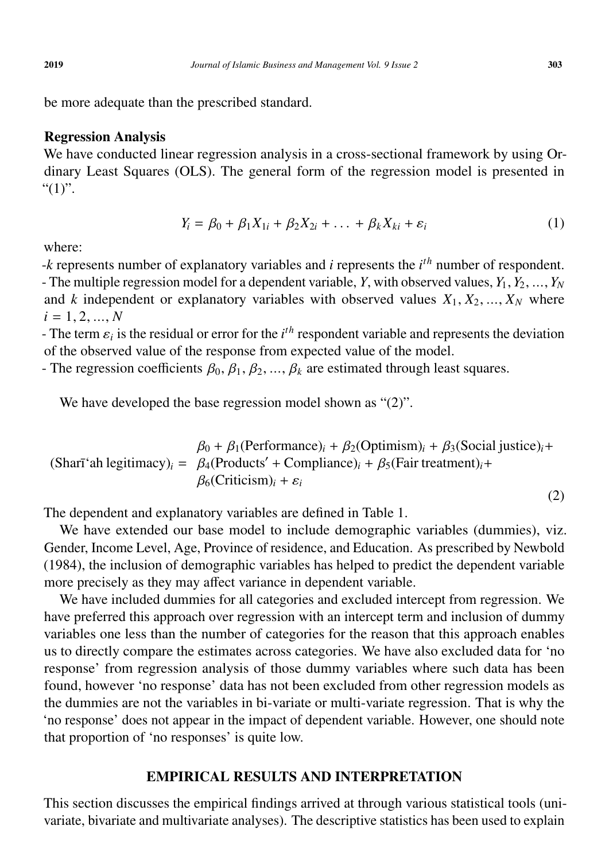be more adequate than the prescribed standard.

# Regression Analysis

We have conducted linear regression analysis in a cross-sectional framework by using Ordinary Least Squares (OLS). The general form of the regression model is presented in " $(1)$ ".

$$
Y_i = \beta_0 + \beta_1 X_{1i} + \beta_2 X_{2i} + \dots + \beta_k X_{ki} + \varepsilon_i
$$
 (1)

where:

-*k* represents number of explanatory variables and *i* represents the *i*<sup>th</sup> number of respondent. - The multiple regression model for a dependent variable, *Y*, with observed values,  $Y_1, Y_2, ..., Y_N$ and *k* independent or explanatory variables with observed values  $X_1, X_2, ..., X_N$  where  $i = 1, 2, ..., N$ 

- The term  $\varepsilon_i$  is the residual or error for the *i*<sup>th</sup> respondent variable and represents the deviation of the observed value of the response from expected value of the model of the observed value of the response from expected value of the model.

- The regression coefficients  $\beta_0$ ,  $\beta_1$ ,  $\beta_2$ , ...,  $\beta_k$  are estimated through least squares.

We have developed the base regression model shown as "(2)".

$$
\beta_0 + \beta_1(\text{Performance})_i + \beta_2(\text{Optimism})_i + \beta_3(\text{Social justice})_i +
$$
  
(Sharī'ah legitimacy)<sub>i</sub> =  $\beta_4(\text{Products}' + \text{Compliance})_i + \beta_5(\text{Fair treatment})_i +$   
 $\beta_6(\text{Criticism})_i + \varepsilon_i$  (2)

The dependent and explanatory variables are defined in Table 1.

We have extended our base model to include demographic variables (dummies), viz. Gender, Income Level, Age, Province of residence, and Education. As prescribed by Newbold (1984), the inclusion of demographic variables has helped to predict the dependent variable more precisely as they may affect variance in dependent variable.

We have included dummies for all categories and excluded intercept from regression. We have preferred this approach over regression with an intercept term and inclusion of dummy variables one less than the number of categories for the reason that this approach enables us to directly compare the estimates across categories. We have also excluded data for 'no response' from regression analysis of those dummy variables where such data has been found, however 'no response' data has not been excluded from other regression models as the dummies are not the variables in bi-variate or multi-variate regression. That is why the 'no response' does not appear in the impact of dependent variable. However, one should note that proportion of 'no responses' is quite low.

## EMPIRICAL RESULTS AND INTERPRETATION

This section discusses the empirical findings arrived at through various statistical tools (univariate, bivariate and multivariate analyses). The descriptive statistics has been used to explain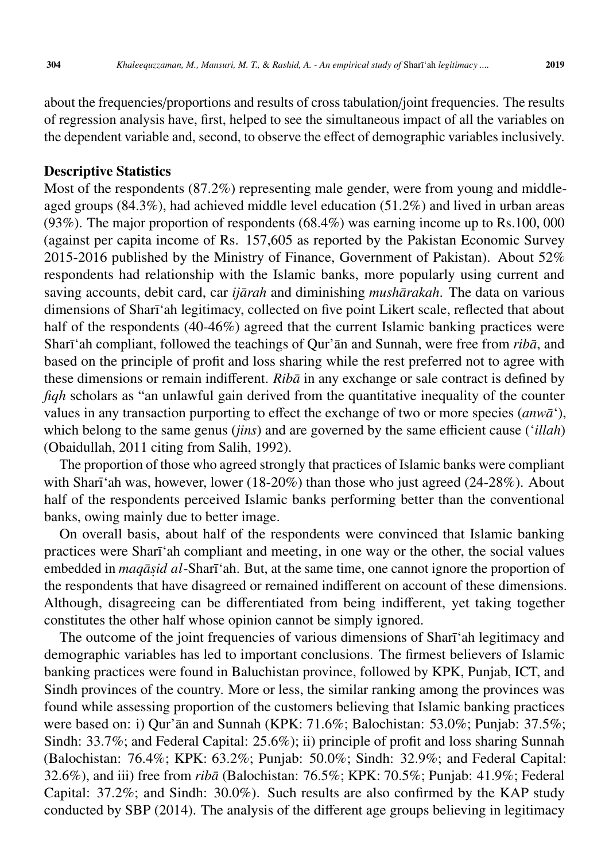about the frequencies/proportions and results of cross tabulation/joint frequencies. The results of regression analysis have, first, helped to see the simultaneous impact of all the variables on the dependent variable and, second, to observe the effect of demographic variables inclusively.

#### Descriptive Statistics

Most of the respondents (87.2%) representing male gender, were from young and middleaged groups (84.3%), had achieved middle level education (51.2%) and lived in urban areas (93%). The major proportion of respondents (68.4%) was earning income up to Rs.100, 000 (against per capita income of Rs. 157,605 as reported by the Pakistan Economic Survey 2015-2016 published by the Ministry of Finance, Government of Pakistan). About 52% respondents had relationship with the Islamic banks, more popularly using current and saving accounts, debit card, car *ijārah* and diminishing *mushārakah*. The data on various dimensions of Sharī'ah legitimacy, collected on five point Likert scale, reflected that about half of the respondents (40-46%) agreed that the current Islamic banking practices were Sharī'ah compliant, followed the teachings of Qur'an and Sunnah, were free from *riba*, and based on the principle of profit and loss sharing while the rest preferred not to agree with these dimensions or remain indifferent. *Ribā* in any exchange or sale contract is defined by *fiqh* scholars as "an unlawful gain derived from the quantitative inequality of the counter values in any transaction purporting to effect the exchange of two or more species (*anw* $\bar{a}$ <sup>'</sup>), which belong to the same genus (*jins*) and are governed by the same efficient cause ('*illah*) (Obaidullah, 2011 citing from Salih, 1992).

The proportion of those who agreed strongly that practices of Islamic banks were compliant with Sharī'ah was, however, lower  $(18-20\%)$  than those who just agreed  $(24-28\%)$ . About half of the respondents perceived Islamic banks performing better than the conventional banks, owing mainly due to better image.

On overall basis, about half of the respondents were convinced that Islamic banking practices were Sharī'ah compliant and meeting, in one way or the other, the social values embedded in *maqāṣid al* - Sharī 'ah. But, at the same time, one cannot ignore the proportion of the respondents that have disagreed or remained indifferent on account of these dimensions. Although, disagreeing can be differentiated from being indifferent, yet taking together constitutes the other half whose opinion cannot be simply ignored.

The outcome of the joint frequencies of various dimensions of Sharī 'ah legitimacy and demographic variables has led to important conclusions. The firmest believers of Islamic banking practices were found in Baluchistan province, followed by KPK, Punjab, ICT, and Sindh provinces of the country. More or less, the similar ranking among the provinces was found while assessing proportion of the customers believing that Islamic banking practices were based on: i) Qur'ān and Sunnah (KPK: 71.6%; Balochistan: 53.0%; Punjab: 37.5%; Sindh: 33.7%; and Federal Capital: 25.6%); ii) principle of profit and loss sharing Sunnah (Balochistan: 76.4%; KPK: 63.2%; Punjab: 50.0%; Sindh: 32.9%; and Federal Capital: 32.6%), and iii) free from *ribā* (Balochistan: 76.5%; KPK: 70.5%; Punjab: 41.9%; Federal Capital: 37.2%; and Sindh: 30.0%). Such results are also confirmed by the KAP study conducted by SBP (2014). The analysis of the different age groups believing in legitimacy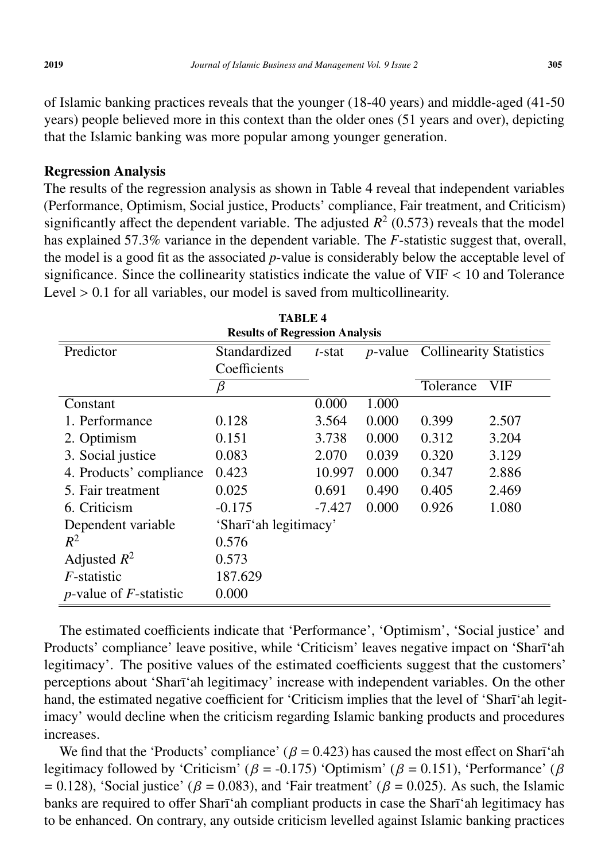of Islamic banking practices reveals that the younger (18-40 years) and middle-aged (41-50 years) people believed more in this context than the older ones (51 years and over), depicting that the Islamic banking was more popular among younger generation.

# Regression Analysis

The results of the regression analysis as shown in Table 4 reveal that independent variables (Performance, Optimism, Social justice, Products' compliance, Fair treatment, and Criticism) significantly affect the dependent variable. The adjusted  $R^2$  (0.573) reveals that the model has explained 57.3% variance in the dependent variable. The *F*-statistic suggest that, overall, the model is a good fit as the associated *p*-value is considerably below the acceptable level of significance. Since the collinearity statistics indicate the value of VIF < 10 and Tolerance Level  $> 0.1$  for all variables, our model is saved from multicollinearity.

| <b>Results of Regression Analysis</b> |                       |           |       |                                         |            |  |  |  |  |
|---------------------------------------|-----------------------|-----------|-------|-----------------------------------------|------------|--|--|--|--|
| Predictor                             | Standardized          | $t$ -stat |       | <i>p</i> -value Collinearity Statistics |            |  |  |  |  |
|                                       | Coefficients          |           |       |                                         |            |  |  |  |  |
|                                       | β                     |           |       | Tolerance                               | <b>VIF</b> |  |  |  |  |
| Constant                              |                       | 0.000     | 1.000 |                                         |            |  |  |  |  |
| 1. Performance                        | 0.128                 | 3.564     | 0.000 | 0.399                                   | 2.507      |  |  |  |  |
| 2. Optimism                           | 0.151                 | 3.738     | 0.000 | 0.312                                   | 3.204      |  |  |  |  |
| 3. Social justice                     | 0.083                 | 2.070     | 0.039 | 0.320                                   | 3.129      |  |  |  |  |
| 4. Products' compliance               | 0.423                 | 10.997    | 0.000 | 0.347                                   | 2.886      |  |  |  |  |
| 5. Fair treatment                     | 0.025                 | 0.691     | 0.490 | 0.405                                   | 2.469      |  |  |  |  |
| 6. Criticism                          | $-0.175$              | $-7.427$  | 0.000 | 0.926                                   | 1.080      |  |  |  |  |
| Dependent variable                    | 'Shari'ah legitimacy' |           |       |                                         |            |  |  |  |  |
| $R^2$                                 | 0.576                 |           |       |                                         |            |  |  |  |  |
| Adjusted $R^2$                        | 0.573                 |           |       |                                         |            |  |  |  |  |
| <i>F</i> -statistic                   | 187.629               |           |       |                                         |            |  |  |  |  |
| <i>p</i> -value of $F$ -statistic     | 0.000                 |           |       |                                         |            |  |  |  |  |

TABLE 4

The estimated coefficients indicate that 'Performance', 'Optimism', 'Social justice' and Products' compliance' leave positive, while 'Criticism' leaves negative impact on 'Sharī'ah legitimacy'. The positive values of the estimated coefficients suggest that the customers' perceptions about 'Sharī'ah legitimacy' increase with independent variables. On the other hand, the estimated negative coefficient for 'Criticism implies that the level of 'Sharī'ah legitimacy' would decline when the criticism regarding Islamic banking products and procedures increases.

We find that the 'Products' compliance' ( $\beta$  = 0.423) has caused the most effect on Sharī'ah legitimacy followed by 'Criticism' ( $\beta$  = -0.175) 'Optimism' ( $\beta$  = 0.151), 'Performance' ( $\beta$  $= 0.128$ ), 'Social justice' ( $\beta = 0.083$ ), and 'Fair treatment' ( $\beta = 0.025$ ). As such, the Islamic banks are required to offer Sharī'ah compliant products in case the Sharī'ah legitimacy has to be enhanced. On contrary, any outside criticism levelled against Islamic banking practices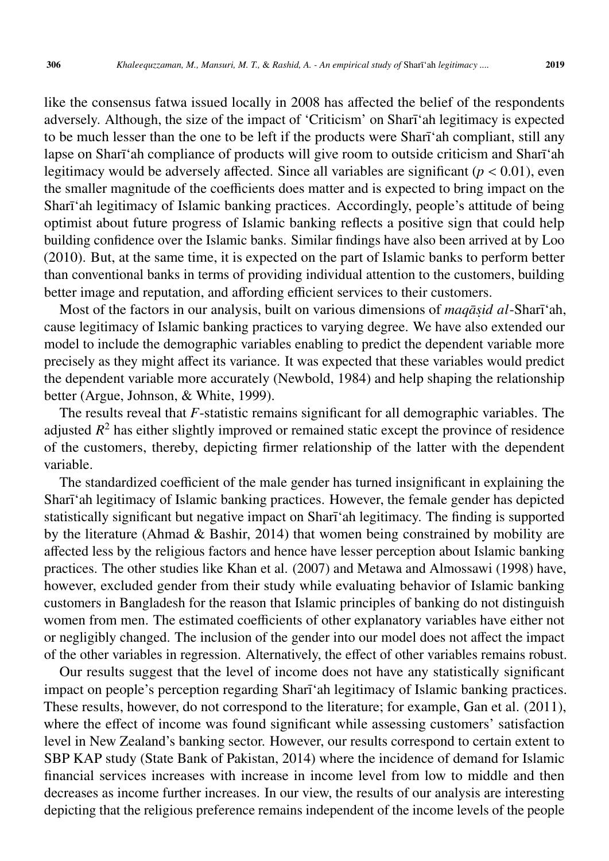like the consensus fatwa issued locally in 2008 has affected the belief of the respondents adversely. Although, the size of the impact of 'Criticism' on Sharī'ah legitimacy is expected to be much lesser than the one to be left if the products were Shari'ah compliant, still any lapse on Sharī'ah compliance of products will give room to outside criticism and Sharī'ah legitimacy would be adversely affected. Since all variables are significant ( $p < 0.01$ ), even the smaller magnitude of the coefficients does matter and is expected to bring impact on the Sharī'ah legitimacy of Islamic banking practices. Accordingly, people's attitude of being optimist about future progress of Islamic banking reflects a positive sign that could help building confidence over the Islamic banks. Similar findings have also been arrived at by Loo (2010). But, at the same time, it is expected on the part of Islamic banks to perform better than conventional banks in terms of providing individual attention to the customers, building better image and reputation, and affording efficient services to their customers.

Most of the factors in our analysis, built on various dimensions of *maqāṣid al*-Sharīʿah, cause legitimacy of Islamic banking practices to varying degree. We have also extended our model to include the demographic variables enabling to predict the dependent variable more precisely as they might affect its variance. It was expected that these variables would predict the dependent variable more accurately (Newbold, 1984) and help shaping the relationship better (Argue, Johnson, & White, 1999).

The results reveal that *F*-statistic remains significant for all demographic variables. The adjusted *R* <sup>2</sup> has either slightly improved or remained static except the province of residence of the customers, thereby, depicting firmer relationship of the latter with the dependent variable.

The standardized coefficient of the male gender has turned insignificant in explaining the Sharī'ah legitimacy of Islamic banking practices. However, the female gender has depicted statistically significant but negative impact on Sharī'ah legitimacy. The finding is supported by the literature (Ahmad & Bashir, 2014) that women being constrained by mobility are affected less by the religious factors and hence have lesser perception about Islamic banking practices. The other studies like Khan et al. (2007) and Metawa and Almossawi (1998) have, however, excluded gender from their study while evaluating behavior of Islamic banking customers in Bangladesh for the reason that Islamic principles of banking do not distinguish women from men. The estimated coefficients of other explanatory variables have either not or negligibly changed. The inclusion of the gender into our model does not affect the impact of the other variables in regression. Alternatively, the effect of other variables remains robust.

Our results suggest that the level of income does not have any statistically significant impact on people's perception regarding Sharī'ah legitimacy of Islamic banking practices. These results, however, do not correspond to the literature; for example, Gan et al. (2011), where the effect of income was found significant while assessing customers' satisfaction level in New Zealand's banking sector. However, our results correspond to certain extent to SBP KAP study (State Bank of Pakistan, 2014) where the incidence of demand for Islamic financial services increases with increase in income level from low to middle and then decreases as income further increases. In our view, the results of our analysis are interesting depicting that the religious preference remains independent of the income levels of the people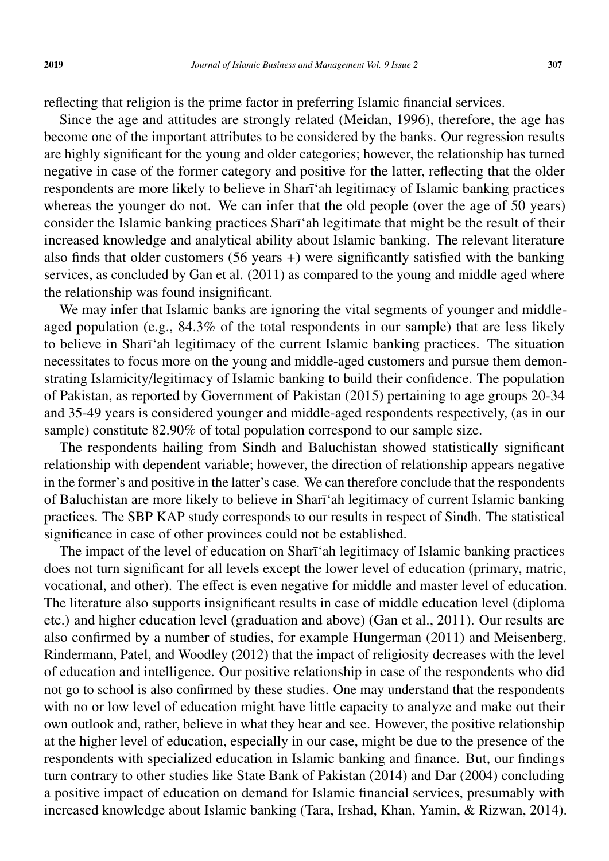reflecting that religion is the prime factor in preferring Islamic financial services.

Since the age and attitudes are strongly related (Meidan, 1996), therefore, the age has become one of the important attributes to be considered by the banks. Our regression results are highly significant for the young and older categories; however, the relationship has turned negative in case of the former category and positive for the latter, reflecting that the older respondents are more likely to believe in Sharī'ah legitimacy of Islamic banking practices whereas the younger do not. We can infer that the old people (over the age of 50 years) consider the Islamic banking practices Sharī<sup>'</sup>ah legitimate that might be the result of their increased knowledge and analytical ability about Islamic banking. The relevant literature also finds that older customers (56 years +) were significantly satisfied with the banking services, as concluded by Gan et al. (2011) as compared to the young and middle aged where the relationship was found insignificant.

We may infer that Islamic banks are ignoring the vital segments of younger and middleaged population (e.g., 84.3% of the total respondents in our sample) that are less likely to believe in Sharī'ah legitimacy of the current Islamic banking practices. The situation necessitates to focus more on the young and middle-aged customers and pursue them demonstrating Islamicity/legitimacy of Islamic banking to build their confidence. The population of Pakistan, as reported by Government of Pakistan (2015) pertaining to age groups 20-34 and 35-49 years is considered younger and middle-aged respondents respectively, (as in our sample) constitute 82.90% of total population correspond to our sample size.

The respondents hailing from Sindh and Baluchistan showed statistically significant relationship with dependent variable; however, the direction of relationship appears negative in the former's and positive in the latter's case. We can therefore conclude that the respondents of Baluchistan are more likely to believe in Sharī'ah legitimacy of current Islamic banking practices. The SBP KAP study corresponds to our results in respect of Sindh. The statistical significance in case of other provinces could not be established.

The impact of the level of education on Sharī'ah legitimacy of Islamic banking practices does not turn significant for all levels except the lower level of education (primary, matric, vocational, and other). The effect is even negative for middle and master level of education. The literature also supports insignificant results in case of middle education level (diploma etc.) and higher education level (graduation and above) (Gan et al., 2011). Our results are also confirmed by a number of studies, for example Hungerman (2011) and Meisenberg, Rindermann, Patel, and Woodley (2012) that the impact of religiosity decreases with the level of education and intelligence. Our positive relationship in case of the respondents who did not go to school is also confirmed by these studies. One may understand that the respondents with no or low level of education might have little capacity to analyze and make out their own outlook and, rather, believe in what they hear and see. However, the positive relationship at the higher level of education, especially in our case, might be due to the presence of the respondents with specialized education in Islamic banking and finance. But, our findings turn contrary to other studies like State Bank of Pakistan (2014) and Dar (2004) concluding a positive impact of education on demand for Islamic financial services, presumably with increased knowledge about Islamic banking (Tara, Irshad, Khan, Yamin, & Rizwan, 2014).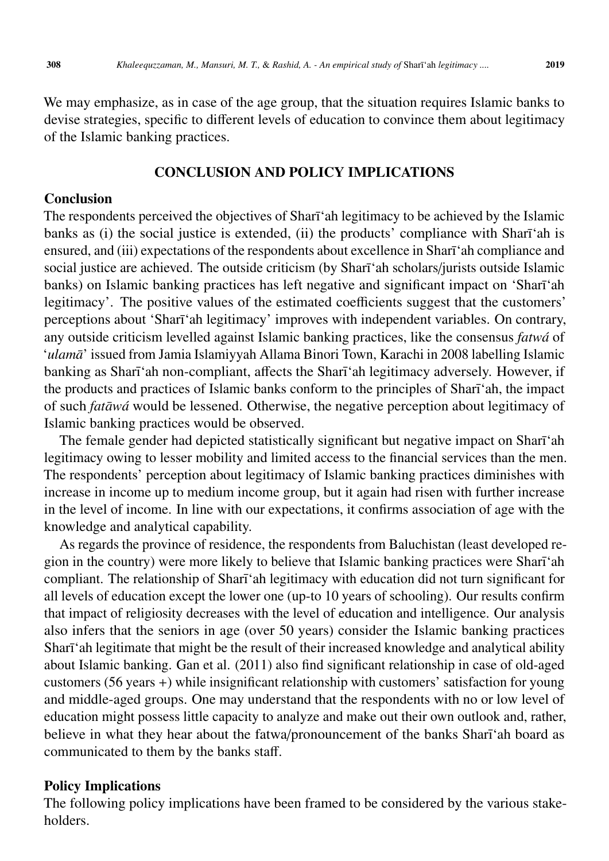We may emphasize, as in case of the age group, that the situation requires Islamic banks to devise strategies, specific to different levels of education to convince them about legitimacy of the Islamic banking practices.

# CONCLUSION AND POLICY IMPLICATIONS

# Conclusion

The respondents perceived the objectives of Sharī 'ah legitimacy to be achieved by the Islamic banks as (i) the social justice is extended, (ii) the products' compliance with Sharī'ah is ensured, and (iii) expectations of the respondents about excellence in Sharī'ah compliance and social justice are achieved. The outside criticism (by Sharī'ah scholars/jurists outside Islamic banks) on Islamic banking practices has left negative and significant impact on 'Sharī'ah legitimacy'. The positive values of the estimated coefficients suggest that the customers' perceptions about 'Sharī'ah legitimacy' improves with independent variables. On contrary, any outside criticism levelled against Islamic banking practices, like the consensus *fatwá* of '*ulamā*' issued from Jamia Islamiyyah Allama Binori Town, Karachi in 2008 labelling Islamic banking as Sharī'ah non-compliant, affects the Sharī'ah legitimacy adversely. However, if the products and practices of Islamic banks conform to the principles of Sharī<sup>'</sup>ah, the impact of such *fatāwá* would be lessened. Otherwise, the negative perception about legitimacy of Islamic banking practices would be observed.

The female gender had depicted statistically significant but negative impact on Sharī'ah legitimacy owing to lesser mobility and limited access to the financial services than the men. The respondents' perception about legitimacy of Islamic banking practices diminishes with increase in income up to medium income group, but it again had risen with further increase in the level of income. In line with our expectations, it confirms association of age with the knowledge and analytical capability.

As regards the province of residence, the respondents from Baluchistan (least developed region in the country) were more likely to believe that Islamic banking practices were Sharī'ah compliant. The relationship of Sharī'ah legitimacy with education did not turn significant for all levels of education except the lower one (up-to 10 years of schooling). Our results confirm that impact of religiosity decreases with the level of education and intelligence. Our analysis also infers that the seniors in age (over 50 years) consider the Islamic banking practices Sharī'ah legitimate that might be the result of their increased knowledge and analytical ability about Islamic banking. Gan et al. (2011) also find significant relationship in case of old-aged customers (56 years +) while insignificant relationship with customers' satisfaction for young and middle-aged groups. One may understand that the respondents with no or low level of education might possess little capacity to analyze and make out their own outlook and, rather, believe in what they hear about the fatwa/pronouncement of the banks Sharī'ah board as communicated to them by the banks staff.

# Policy Implications

The following policy implications have been framed to be considered by the various stakeholders.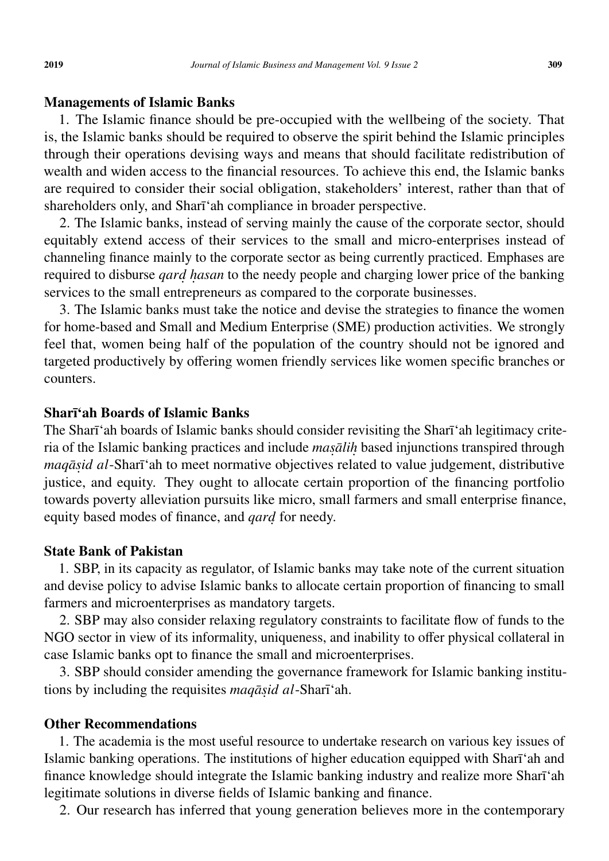### Managements of Islamic Banks

1. The Islamic finance should be pre-occupied with the wellbeing of the society. That is, the Islamic banks should be required to observe the spirit behind the Islamic principles through their operations devising ways and means that should facilitate redistribution of wealth and widen access to the financial resources. To achieve this end, the Islamic banks are required to consider their social obligation, stakeholders' interest, rather than that of shareholders only, and Sharī'ah compliance in broader perspective.

2. The Islamic banks, instead of serving mainly the cause of the corporate sector, should equitably extend access of their services to the small and micro-enterprises instead of channeling finance mainly to the corporate sector as being currently practiced. Emphases are required to disburse *qard*. *h*. *asan* to the needy people and charging lower price of the banking services to the small entrepreneurs as compared to the corporate businesses.

3. The Islamic banks must take the notice and devise the strategies to finance the women for home-based and Small and Medium Enterprise (SME) production activities. We strongly feel that, women being half of the population of the country should not be ignored and targeted productively by offering women friendly services like women specific branches or counters.

# Sharī'ah Boards of Islamic Banks

The Sharī 'ah boards of Islamic banks should consider revisiting the Sharī 'ah legitimacy criteria of the Islamic banking practices and include *masalih* based injunctions transpired through *maqāṣid al*-Sharī'ah to meet normative objectives related to value judgement, distributive justice, and equity. They ought to allocate certain proportion of the financing portfolio towards poverty alleviation pursuits like micro, small farmers and small enterprise finance, equity based modes of finance, and *qard*. for needy.

#### State Bank of Pakistan

1. SBP, in its capacity as regulator, of Islamic banks may take note of the current situation and devise policy to advise Islamic banks to allocate certain proportion of financing to small farmers and microenterprises as mandatory targets.

2. SBP may also consider relaxing regulatory constraints to facilitate flow of funds to the NGO sector in view of its informality, uniqueness, and inability to offer physical collateral in case Islamic banks opt to finance the small and microenterprises.

3. SBP should consider amending the governance framework for Islamic banking institutions by including the requisites *maqāṣid al*-Sharī 'ah.

### Other Recommendations

1. The academia is the most useful resource to undertake research on various key issues of Islamic banking operations. The institutions of higher education equipped with Sharī'ah and finance knowledge should integrate the Islamic banking industry and realize more Sharī 'ah legitimate solutions in diverse fields of Islamic banking and finance.

2. Our research has inferred that young generation believes more in the contemporary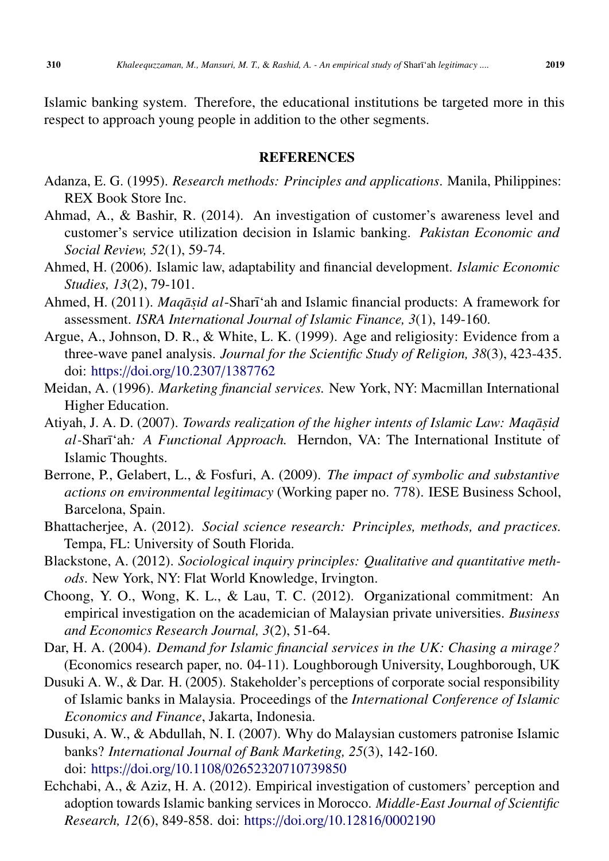Islamic banking system. Therefore, the educational institutions be targeted more in this respect to approach young people in addition to the other segments.

### **REFERENCES**

- Adanza, E. G. (1995). *Research methods: Principles and applications*. Manila, Philippines: REX Book Store Inc.
- Ahmad, A., & Bashir, R. (2014). An investigation of customer's awareness level and customer's service utilization decision in Islamic banking. *Pakistan Economic and Social Review, 52*(1), 59-74.
- Ahmed, H. (2006). Islamic law, adaptability and financial development. *Islamic Economic Studies, 13*(2), 79-101.
- Ahmed, H. (2011). *Maqāṣid al*-Sharīʿah and Islamic financial products: A framework for assessment. *ISRA International Journal of Islamic Finance, 3*(1), 149-160.
- Argue, A., Johnson, D. R., & White, L. K. (1999). Age and religiosity: Evidence from a three-wave panel analysis. *Journal for the Scientific Study of Religion, 38*(3), 423-435. doi: https://doi.org/10.2307/[1387762](https://doi.org/10.2307/1387762)
- Meidan, A. (1996). *Marketing financial services.* New York, NY: Macmillan International Higher Education.
- Atiyah, J. A. D. (2007). *Towards realization of the higher intents of Islamic Law: Maqāṣid* al-Sharī'ah: A Functional Approach. Herndon, VA: The International Institute of Islamic Thoughts.
- Berrone, P., Gelabert, L., & Fosfuri, A. (2009). *The impact of symbolic and substantive actions on environmental legitimacy* (Working paper no. 778). IESE Business School, Barcelona, Spain.
- Bhattacherjee, A. (2012). *Social science research: Principles, methods, and practices.* Tempa, FL: University of South Florida.
- Blackstone, A. (2012). *Sociological inquiry principles: Qualitative and quantitative methods*. New York, NY: Flat World Knowledge, Irvington.
- Choong, Y. O., Wong, K. L., & Lau, T. C. (2012). Organizational commitment: An empirical investigation on the academician of Malaysian private universities. *Business and Economics Research Journal, 3*(2), 51-64.
- Dar, H. A. (2004). *Demand for Islamic financial services in the UK: Chasing a mirage?* (Economics research paper, no. 04-11). Loughborough University, Loughborough, UK
- Dusuki A. W., & Dar. H. (2005). Stakeholder's perceptions of corporate social responsibility of Islamic banks in Malaysia. Proceedings of the *International Conference of Islamic Economics and Finance*, Jakarta, Indonesia.
- Dusuki, A. W., & Abdullah, N. I. (2007). Why do Malaysian customers patronise Islamic banks? *International Journal of Bank Marketing, 25*(3), 142-160. doi: https://doi.org/10.1108/[02652320710739850](https://doi.org/10.1108/02652320710739850)
- Echchabi, A., & Aziz, H. A. (2012). Empirical investigation of customers' perception and adoption towards Islamic banking services in Morocco. *Middle-East Journal of Scientific Research, 12*(6), 849-858. doi: https://doi.org/[10.12816](https://doi.org/10.12816/0002190 )/0002190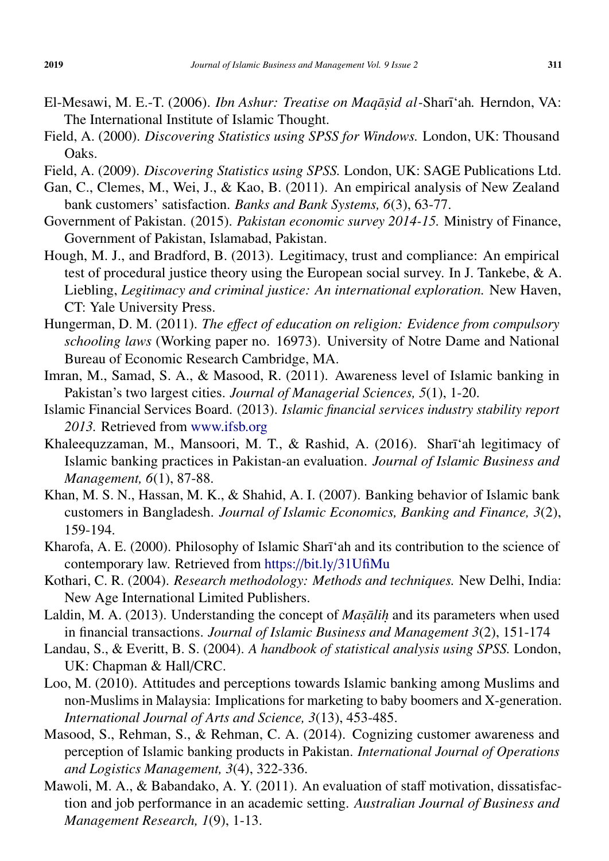- El-Mesawi, M. E.-T. (2006). *Ibn Ashur: Treatise on Maqāṣid al-*Sharīʿah. Herndon, VA: The International Institute of Islamic Thought.
- Field, A. (2000). *Discovering Statistics using SPSS for Windows.* London, UK: Thousand Oaks.
- Field, A. (2009). *Discovering Statistics using SPSS.* London, UK: SAGE Publications Ltd.
- Gan, C., Clemes, M., Wei, J., & Kao, B. (2011). An empirical analysis of New Zealand bank customers' satisfaction. *Banks and Bank Systems, 6*(3), 63-77.
- Government of Pakistan. (2015). *Pakistan economic survey 2014-15.* Ministry of Finance, Government of Pakistan, Islamabad, Pakistan.
- Hough, M. J., and Bradford, B. (2013). Legitimacy, trust and compliance: An empirical test of procedural justice theory using the European social survey. In J. Tankebe, & A. Liebling, *Legitimacy and criminal justice: An international exploration.* New Haven, CT: Yale University Press.
- Hungerman, D. M. (2011). *The e*ff*ect of education on religion: Evidence from compulsory schooling laws* (Working paper no. 16973). University of Notre Dame and National Bureau of Economic Research Cambridge, MA.
- Imran, M., Samad, S. A., & Masood, R. (2011). Awareness level of Islamic banking in Pakistan's two largest cities. *Journal of Managerial Sciences, 5*(1), 1-20.
- Islamic Financial Services Board. (2013). *Islamic financial services industry stability report 2013.* Retrieved from <www.ifsb.org>
- Khaleequzzaman, M., Mansoori, M. T., & Rashid, A. (2016). Sharī'ah legitimacy of Islamic banking practices in Pakistan-an evaluation. *Journal of Islamic Business and Management, 6*(1), 87-88.
- Khan, M. S. N., Hassan, M. K., & Shahid, A. I. (2007). Banking behavior of Islamic bank customers in Bangladesh. *Journal of Islamic Economics, Banking and Finance, 3*(2), 159-194.
- Kharofa, A. E. (2000). Philosophy of Islamic Sharī'ah and its contribution to the science of contemporary law. Retrieved from https://bit.ly/[31UfiMu](https://bit.ly/31UfiMu )
- Kothari, C. R. (2004). *Research methodology: Methods and techniques.* New Delhi, India: New Age International Limited Publishers.
- Laldin, M. A. (2013). Understanding the concept of *Masalih* and its parameters when used in financial transactions. *Journal of Islamic Business and Management 3*(2), 151-174
- Landau, S., & Everitt, B. S. (2004). *A handbook of statistical analysis using SPSS.* London, UK: Chapman & Hall/CRC.
- Loo, M. (2010). Attitudes and perceptions towards Islamic banking among Muslims and non-Muslims in Malaysia: Implications for marketing to baby boomers and X-generation. *International Journal of Arts and Science, 3*(13), 453-485.
- Masood, S., Rehman, S., & Rehman, C. A. (2014). Cognizing customer awareness and perception of Islamic banking products in Pakistan. *International Journal of Operations and Logistics Management, 3*(4), 322-336.
- Mawoli, M. A., & Babandako, A. Y. (2011). An evaluation of staff motivation, dissatisfaction and job performance in an academic setting. *Australian Journal of Business and Management Research, 1*(9), 1-13.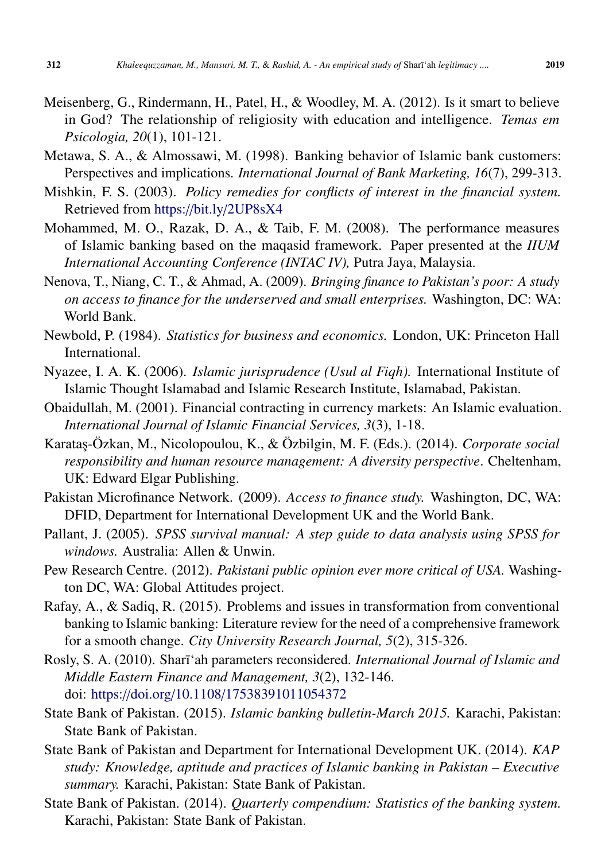- Meisenberg, G., Rindermann, H., Patel, H., & Woodley, M. A. (2012). Is it smart to believe in God? The relationship of religiosity with education and intelligence. *Temas em Psicologia, 20*(1), 101-121.
- Metawa, S. A., & Almossawi, M. (1998). Banking behavior of Islamic bank customers: Perspectives and implications. *International Journal of Bank Marketing, 16*(7), 299-313.
- Mishkin, F. S. (2003). *Policy remedies for conflicts of interest in the financial system.* Retrieved from https://bit.ly/[2UP8sX4](https://bit.ly/2UP8sX4)
- Mohammed, M. O., Razak, D. A., & Taib, F. M. (2008). The performance measures of Islamic banking based on the maqasid framework. Paper presented at the *IIUM International Accounting Conference (INTAC IV),* Putra Jaya, Malaysia.
- Nenova, T., Niang, C. T., & Ahmad, A. (2009). *Bringing finance to Pakistan's poor: A study on access to finance for the underserved and small enterprises.* Washington, DC: WA: World Bank.
- Newbold, P. (1984). *Statistics for business and economics.* London, UK: Princeton Hall International.
- Nyazee, I. A. K. (2006). *Islamic jurisprudence (Usul al Fiqh).* International Institute of Islamic Thought Islamabad and Islamic Research Institute, Islamabad, Pakistan.
- Obaidullah, M. (2001). Financial contracting in currency markets: An Islamic evaluation. *International Journal of Islamic Financial Services, 3*(3), 1-18.
- Karata¸s-Özkan, M., Nicolopoulou, K., & Özbilgin, M. F. (Eds.). (2014). *Corporate social responsibility and human resource management: A diversity perspective*. Cheltenham, UK: Edward Elgar Publishing.
- Pakistan Microfinance Network. (2009). *Access to finance study.* Washington, DC, WA: DFID, Department for International Development UK and the World Bank.
- Pallant, J. (2005). *SPSS survival manual: A step guide to data analysis using SPSS for windows.* Australia: Allen & Unwin.
- Pew Research Centre. (2012). *Pakistani public opinion ever more critical of USA.* Washington DC, WA: Global Attitudes project.
- Rafay, A., & Sadiq, R. (2015). Problems and issues in transformation from conventional banking to Islamic banking: Literature review for the need of a comprehensive framework for a smooth change. *City University Research Journal, 5*(2), 315-326.
- Rosly, S. A. (2010). Sharī'ah parameters reconsidered. *International Journal of Islamic and Middle Eastern Finance and Management, 3*(2), 132-146. doi: https://doi.org/10.1108/[17538391011054372](https://doi.org/10.1108/17538391011054372)
- State Bank of Pakistan. (2015). *Islamic banking bulletin-March 2015.* Karachi, Pakistan: State Bank of Pakistan.
- State Bank of Pakistan and Department for International Development UK. (2014). *KAP study: Knowledge, aptitude and practices of Islamic banking in Pakistan – Executive summary.* Karachi, Pakistan: State Bank of Pakistan.
- State Bank of Pakistan. (2014). *Quarterly compendium: Statistics of the banking system.* Karachi, Pakistan: State Bank of Pakistan.